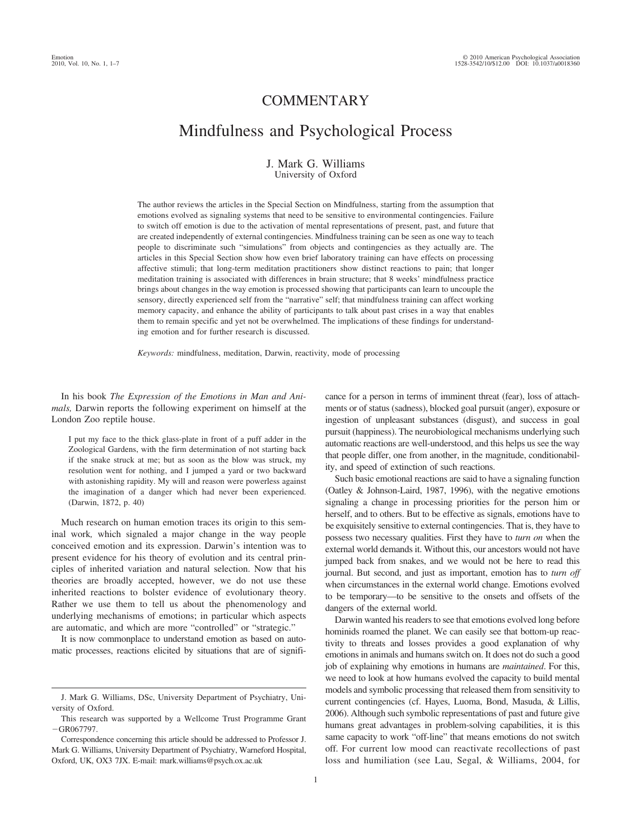## **COMMENTARY**

# Mindfulness and Psychological Process

#### J. Mark G. Williams University of Oxford

The author reviews the articles in the Special Section on Mindfulness, starting from the assumption that emotions evolved as signaling systems that need to be sensitive to environmental contingencies. Failure to switch off emotion is due to the activation of mental representations of present, past, and future that are created independently of external contingencies. Mindfulness training can be seen as one way to teach people to discriminate such "simulations" from objects and contingencies as they actually are. The articles in this Special Section show how even brief laboratory training can have effects on processing affective stimuli; that long-term meditation practitioners show distinct reactions to pain; that longer meditation training is associated with differences in brain structure; that 8 weeks' mindfulness practice brings about changes in the way emotion is processed showing that participants can learn to uncouple the sensory, directly experienced self from the "narrative" self; that mindfulness training can affect working memory capacity, and enhance the ability of participants to talk about past crises in a way that enables them to remain specific and yet not be overwhelmed. The implications of these findings for understanding emotion and for further research is discussed.

*Keywords:* mindfulness, meditation, Darwin, reactivity, mode of processing

In his book *The Expression of the Emotions in Man and Animals,* Darwin reports the following experiment on himself at the London Zoo reptile house.

I put my face to the thick glass-plate in front of a puff adder in the Zoological Gardens, with the firm determination of not starting back if the snake struck at me; but as soon as the blow was struck, my resolution went for nothing, and I jumped a yard or two backward with astonishing rapidity. My will and reason were powerless against the imagination of a danger which had never been experienced. (Darwin, 1872, p. 40)

Much research on human emotion traces its origin to this seminal work*,* which signaled a major change in the way people conceived emotion and its expression. Darwin's intention was to present evidence for his theory of evolution and its central principles of inherited variation and natural selection. Now that his theories are broadly accepted, however, we do not use these inherited reactions to bolster evidence of evolutionary theory. Rather we use them to tell us about the phenomenology and underlying mechanisms of emotions; in particular which aspects are automatic, and which are more "controlled" or "strategic."

It is now commonplace to understand emotion as based on automatic processes, reactions elicited by situations that are of significance for a person in terms of imminent threat (fear), loss of attachments or of status (sadness), blocked goal pursuit (anger), exposure or ingestion of unpleasant substances (disgust), and success in goal pursuit (happiness). The neurobiological mechanisms underlying such automatic reactions are well-understood, and this helps us see the way that people differ, one from another, in the magnitude, conditionability, and speed of extinction of such reactions.

Such basic emotional reactions are said to have a signaling function (Oatley & Johnson-Laird, 1987, 1996), with the negative emotions signaling a change in processing priorities for the person him or herself, and to others. But to be effective as signals, emotions have to be exquisitely sensitive to external contingencies. That is, they have to possess two necessary qualities. First they have to *turn on* when the external world demands it. Without this, our ancestors would not have jumped back from snakes, and we would not be here to read this journal. But second, and just as important, emotion has to *turn off* when circumstances in the external world change. Emotions evolved to be temporary—to be sensitive to the onsets and offsets of the dangers of the external world.

Darwin wanted his readers to see that emotions evolved long before hominids roamed the planet. We can easily see that bottom-up reactivity to threats and losses provides a good explanation of why emotions in animals and humans switch on. It does not do such a good job of explaining why emotions in humans are *maintained*. For this, we need to look at how humans evolved the capacity to build mental models and symbolic processing that released them from sensitivity to current contingencies (cf. Hayes, Luoma, Bond, Masuda, & Lillis, 2006). Although such symbolic representations of past and future give humans great advantages in problem-solving capabilities, it is this same capacity to work "off-line" that means emotions do not switch off. For current low mood can reactivate recollections of past loss and humiliation (see Lau, Segal, & Williams, 2004, for

J. Mark G. Williams, DSc, University Department of Psychiatry, University of Oxford.

This research was supported by a Wellcome Trust Programme Grant  $-GR067797.$ 

Correspondence concerning this article should be addressed to Professor J. Mark G. Williams, University Department of Psychiatry, Warneford Hospital, Oxford, UK, OX3 7JX. E-mail: mark.williams@psych.ox.ac.uk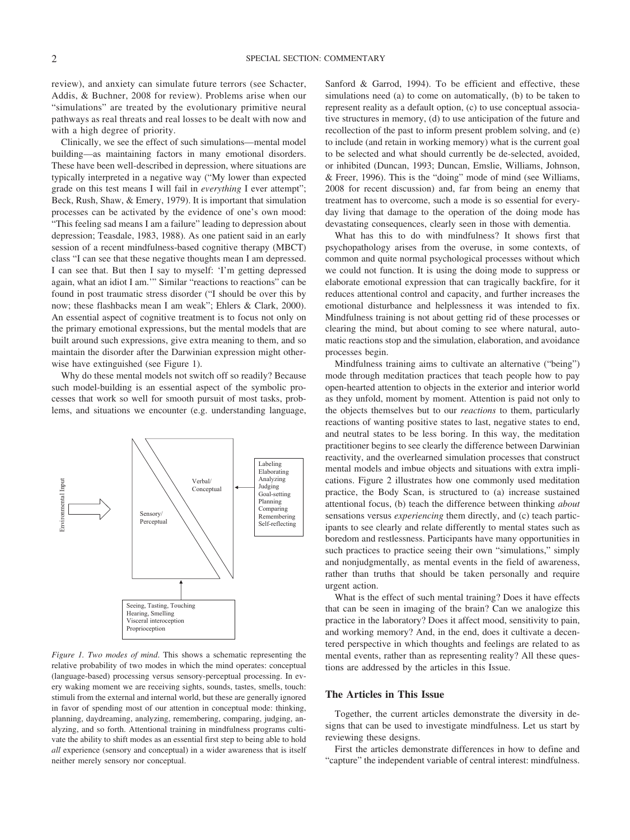review), and anxiety can simulate future terrors (see Schacter, Addis, & Buchner, 2008 for review). Problems arise when our "simulations" are treated by the evolutionary primitive neural pathways as real threats and real losses to be dealt with now and with a high degree of priority.

Clinically, we see the effect of such simulations—mental model building—as maintaining factors in many emotional disorders. These have been well-described in depression, where situations are typically interpreted in a negative way ("My lower than expected grade on this test means I will fail in *everything* I ever attempt"; Beck, Rush, Shaw, & Emery, 1979). It is important that simulation processes can be activated by the evidence of one's own mood: "This feeling sad means I am a failure" leading to depression about depression; Teasdale, 1983, 1988). As one patient said in an early session of a recent mindfulness-based cognitive therapy (MBCT) class "I can see that these negative thoughts mean I am depressed. I can see that. But then I say to myself: 'I'm getting depressed again, what an idiot I am.'" Similar "reactions to reactions" can be found in post traumatic stress disorder ("I should be over this by now; these flashbacks mean I am weak"; Ehlers & Clark, 2000). An essential aspect of cognitive treatment is to focus not only on the primary emotional expressions, but the mental models that are built around such expressions, give extra meaning to them, and so maintain the disorder after the Darwinian expression might otherwise have extinguished (see Figure 1).

Why do these mental models not switch off so readily? Because such model-building is an essential aspect of the symbolic processes that work so well for smooth pursuit of most tasks, problems, and situations we encounter (e.g. understanding language,



*Figure 1. Two modes of mind*. This shows a schematic representing the relative probability of two modes in which the mind operates: conceptual (language-based) processing versus sensory-perceptual processing. In every waking moment we are receiving sights, sounds, tastes, smells, touch: stimuli from the external and internal world, but these are generally ignored in favor of spending most of our attention in conceptual mode: thinking, planning, daydreaming, analyzing, remembering, comparing, judging, analyzing, and so forth. Attentional training in mindfulness programs cultivate the ability to shift modes as an essential first step to being able to hold *all* experience (sensory and conceptual) in a wider awareness that is itself neither merely sensory nor conceptual.

Sanford & Garrod, 1994). To be efficient and effective, these simulations need (a) to come on automatically, (b) to be taken to represent reality as a default option, (c) to use conceptual associative structures in memory, (d) to use anticipation of the future and recollection of the past to inform present problem solving, and (e) to include (and retain in working memory) what is the current goal to be selected and what should currently be de-selected, avoided, or inhibited (Duncan, 1993; Duncan, Emslie, Williams, Johnson, & Freer, 1996). This is the "doing" mode of mind (see Williams, 2008 for recent discussion) and, far from being an enemy that treatment has to overcome, such a mode is so essential for everyday living that damage to the operation of the doing mode has devastating consequences, clearly seen in those with dementia.

What has this to do with mindfulness? It shows first that psychopathology arises from the overuse, in some contexts, of common and quite normal psychological processes without which we could not function. It is using the doing mode to suppress or elaborate emotional expression that can tragically backfire, for it reduces attentional control and capacity, and further increases the emotional disturbance and helplessness it was intended to fix. Mindfulness training is not about getting rid of these processes or clearing the mind, but about coming to see where natural, automatic reactions stop and the simulation, elaboration, and avoidance processes begin.

Mindfulness training aims to cultivate an alternative ("being") mode through meditation practices that teach people how to pay open-hearted attention to objects in the exterior and interior world as they unfold, moment by moment. Attention is paid not only to the objects themselves but to our *reactions* to them, particularly reactions of wanting positive states to last, negative states to end, and neutral states to be less boring. In this way, the meditation practitioner begins to see clearly the difference between Darwinian reactivity, and the overlearned simulation processes that construct mental models and imbue objects and situations with extra implications. Figure 2 illustrates how one commonly used meditation practice, the Body Scan, is structured to (a) increase sustained attentional focus, (b) teach the difference between thinking *about* sensations versus *experiencing* them directly, and (c) teach participants to see clearly and relate differently to mental states such as boredom and restlessness. Participants have many opportunities in such practices to practice seeing their own "simulations," simply and nonjudgmentally, as mental events in the field of awareness, rather than truths that should be taken personally and require urgent action.

What is the effect of such mental training? Does it have effects that can be seen in imaging of the brain? Can we analogize this practice in the laboratory? Does it affect mood, sensitivity to pain, and working memory? And, in the end, does it cultivate a decentered perspective in which thoughts and feelings are related to as mental events, rather than as representing reality? All these questions are addressed by the articles in this Issue.

#### **The Articles in This Issue**

Together, the current articles demonstrate the diversity in designs that can be used to investigate mindfulness. Let us start by reviewing these designs.

First the articles demonstrate differences in how to define and "capture" the independent variable of central interest: mindfulness.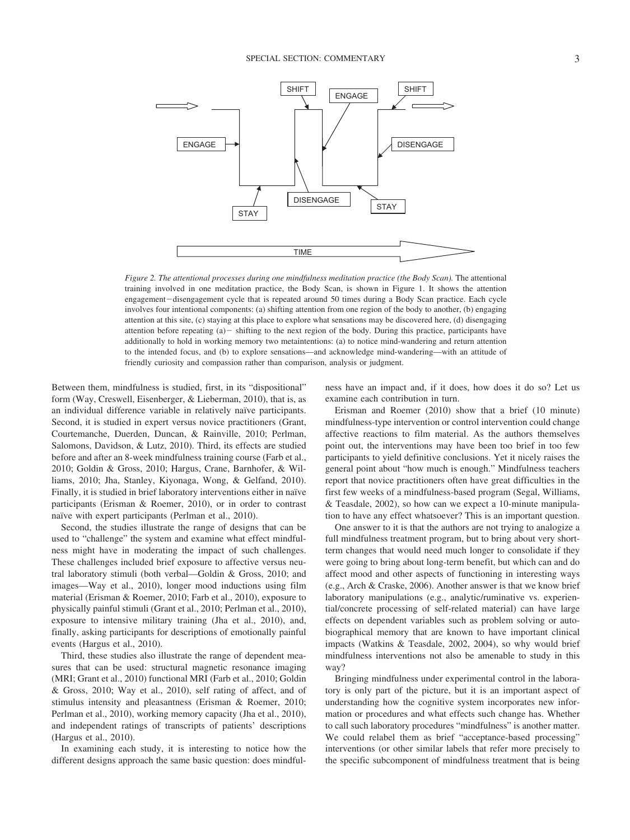

*Figure 2. The attentional processes during one mindfulness meditation practice (the Body Scan).* The attentional training involved in one meditation practice, the Body Scan, is shown in Figure 1. It shows the attention engagement-disengagement cycle that is repeated around 50 times during a Body Scan practice. Each cycle involves four intentional components: (a) shifting attention from one region of the body to another, (b) engaging attention at this site, (c) staying at this place to explore what sensations may be discovered here, (d) disengaging attention before repeating  $(a)$  - shifting to the next region of the body. During this practice, participants have additionally to hold in working memory two metaintentions: (a) to notice mind-wandering and return attention to the intended focus, and (b) to explore sensations—and acknowledge mind-wandering—with an attitude of friendly curiosity and compassion rather than comparison, analysis or judgment.

Between them, mindfulness is studied, first, in its "dispositional" form (Way, Creswell, Eisenberger, & Lieberman, 2010), that is, as an individual difference variable in relatively naïve participants. Second, it is studied in expert versus novice practitioners (Grant, Courtemanche, Duerden, Duncan, & Rainville, 2010; Perlman, Salomons, Davidson, & Lutz, 2010). Third, its effects are studied before and after an 8-week mindfulness training course (Farb et al., 2010; Goldin & Gross, 2010; Hargus, Crane, Barnhofer, & Williams, 2010; Jha, Stanley, Kiyonaga, Wong, & Gelfand, 2010). Finally, it is studied in brief laboratory interventions either in naïve participants (Erisman & Roemer, 2010), or in order to contrast naïve with expert participants (Perlman et al., 2010).

Second, the studies illustrate the range of designs that can be used to "challenge" the system and examine what effect mindfulness might have in moderating the impact of such challenges. These challenges included brief exposure to affective versus neutral laboratory stimuli (both verbal—Goldin & Gross, 2010; and images—Way et al., 2010), longer mood inductions using film material (Erisman & Roemer, 2010; Farb et al., 2010), exposure to physically painful stimuli (Grant et al., 2010; Perlman et al., 2010), exposure to intensive military training (Jha et al., 2010), and, finally, asking participants for descriptions of emotionally painful events (Hargus et al., 2010).

Third, these studies also illustrate the range of dependent measures that can be used: structural magnetic resonance imaging (MRI; Grant et al., 2010) functional MRI (Farb et al., 2010; Goldin & Gross, 2010; Way et al., 2010), self rating of affect, and of stimulus intensity and pleasantness (Erisman & Roemer, 2010; Perlman et al., 2010), working memory capacity (Jha et al., 2010), and independent ratings of transcripts of patients' descriptions (Hargus et al., 2010).

In examining each study, it is interesting to notice how the different designs approach the same basic question: does mindfulness have an impact and, if it does, how does it do so? Let us examine each contribution in turn.

Erisman and Roemer (2010) show that a brief (10 minute) mindfulness-type intervention or control intervention could change affective reactions to film material. As the authors themselves point out, the interventions may have been too brief in too few participants to yield definitive conclusions. Yet it nicely raises the general point about "how much is enough." Mindfulness teachers report that novice practitioners often have great difficulties in the first few weeks of a mindfulness-based program (Segal, Williams, & Teasdale, 2002), so how can we expect a 10-minute manipulation to have any effect whatsoever? This is an important question.

One answer to it is that the authors are not trying to analogize a full mindfulness treatment program, but to bring about very shortterm changes that would need much longer to consolidate if they were going to bring about long-term benefit, but which can and do affect mood and other aspects of functioning in interesting ways (e.g., Arch & Craske, 2006). Another answer is that we know brief laboratory manipulations (e.g., analytic/ruminative vs. experiential/concrete processing of self-related material) can have large effects on dependent variables such as problem solving or autobiographical memory that are known to have important clinical impacts (Watkins & Teasdale, 2002, 2004), so why would brief mindfulness interventions not also be amenable to study in this way?

Bringing mindfulness under experimental control in the laboratory is only part of the picture, but it is an important aspect of understanding how the cognitive system incorporates new information or procedures and what effects such change has. Whether to call such laboratory procedures "mindfulness" is another matter. We could relabel them as brief "acceptance-based processing" interventions (or other similar labels that refer more precisely to the specific subcomponent of mindfulness treatment that is being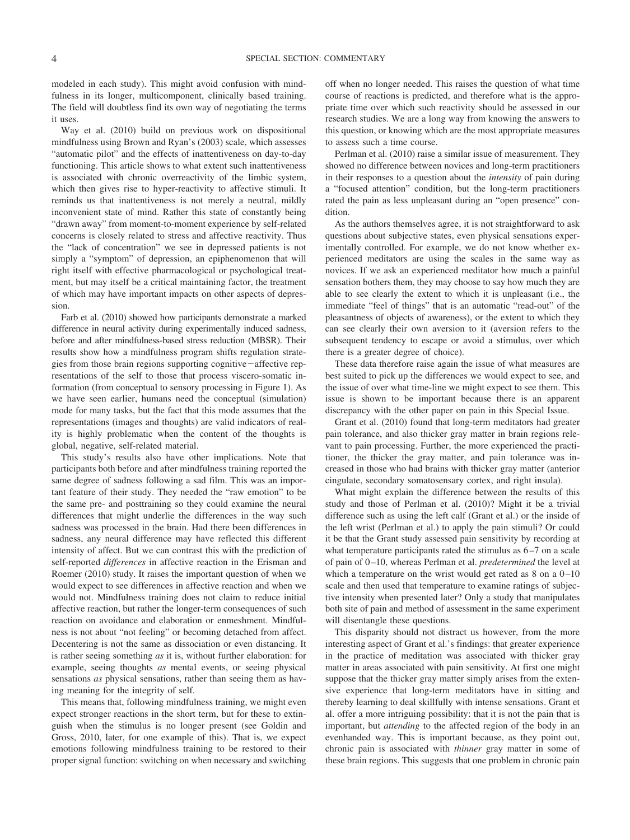modeled in each study). This might avoid confusion with mindfulness in its longer, multicomponent, clinically based training. The field will doubtless find its own way of negotiating the terms it uses.

Way et al. (2010) build on previous work on dispositional mindfulness using Brown and Ryan's (2003) scale, which assesses "automatic pilot" and the effects of inattentiveness on day-to-day functioning. This article shows to what extent such inattentiveness is associated with chronic overreactivity of the limbic system, which then gives rise to hyper-reactivity to affective stimuli. It reminds us that inattentiveness is not merely a neutral, mildly inconvenient state of mind. Rather this state of constantly being "drawn away" from moment-to-moment experience by self-related concerns is closely related to stress and affective reactivity. Thus the "lack of concentration" we see in depressed patients is not simply a "symptom" of depression, an epiphenomenon that will right itself with effective pharmacological or psychological treatment, but may itself be a critical maintaining factor, the treatment of which may have important impacts on other aspects of depression.

Farb et al. (2010) showed how participants demonstrate a marked difference in neural activity during experimentally induced sadness, before and after mindfulness-based stress reduction (MBSR). Their results show how a mindfulness program shifts regulation strategies from those brain regions supporting cognitive—affective representations of the self to those that process viscero-somatic information (from conceptual to sensory processing in Figure 1). As we have seen earlier, humans need the conceptual (simulation) mode for many tasks, but the fact that this mode assumes that the representations (images and thoughts) are valid indicators of reality is highly problematic when the content of the thoughts is global, negative, self-related material.

This study's results also have other implications. Note that participants both before and after mindfulness training reported the same degree of sadness following a sad film. This was an important feature of their study. They needed the "raw emotion" to be the same pre- and posttraining so they could examine the neural differences that might underlie the differences in the way such sadness was processed in the brain. Had there been differences in sadness, any neural difference may have reflected this different intensity of affect. But we can contrast this with the prediction of self-reported *differences* in affective reaction in the Erisman and Roemer (2010) study. It raises the important question of when we would expect to see differences in affective reaction and when we would not. Mindfulness training does not claim to reduce initial affective reaction, but rather the longer-term consequences of such reaction on avoidance and elaboration or enmeshment. Mindfulness is not about "not feeling" or becoming detached from affect. Decentering is not the same as dissociation or even distancing. It is rather seeing something *as* it is, without further elaboration: for example, seeing thoughts *as* mental events, or seeing physical sensations *as* physical sensations, rather than seeing them as having meaning for the integrity of self.

This means that, following mindfulness training, we might even expect stronger reactions in the short term, but for these to extinguish when the stimulus is no longer present (see Goldin and Gross, 2010, later, for one example of this). That is, we expect emotions following mindfulness training to be restored to their proper signal function: switching on when necessary and switching off when no longer needed. This raises the question of what time course of reactions is predicted, and therefore what is the appropriate time over which such reactivity should be assessed in our research studies. We are a long way from knowing the answers to this question, or knowing which are the most appropriate measures to assess such a time course.

Perlman et al. (2010) raise a similar issue of measurement. They showed no difference between novices and long-term practitioners in their responses to a question about the *intensity* of pain during a "focused attention" condition, but the long-term practitioners rated the pain as less unpleasant during an "open presence" condition.

As the authors themselves agree, it is not straightforward to ask questions about subjective states, even physical sensations experimentally controlled. For example, we do not know whether experienced meditators are using the scales in the same way as novices. If we ask an experienced meditator how much a painful sensation bothers them, they may choose to say how much they are able to see clearly the extent to which it is unpleasant (i.e., the immediate "feel of things" that is an automatic "read-out" of the pleasantness of objects of awareness), or the extent to which they can see clearly their own aversion to it (aversion refers to the subsequent tendency to escape or avoid a stimulus, over which there is a greater degree of choice).

These data therefore raise again the issue of what measures are best suited to pick up the differences we would expect to see, and the issue of over what time-line we might expect to see them. This issue is shown to be important because there is an apparent discrepancy with the other paper on pain in this Special Issue.

Grant et al. (2010) found that long-term meditators had greater pain tolerance, and also thicker gray matter in brain regions relevant to pain processing. Further, the more experienced the practitioner, the thicker the gray matter, and pain tolerance was increased in those who had brains with thicker gray matter (anterior cingulate, secondary somatosensary cortex, and right insula).

What might explain the difference between the results of this study and those of Perlman et al. (2010)? Might it be a trivial difference such as using the left calf (Grant et al.) or the inside of the left wrist (Perlman et al.) to apply the pain stimuli? Or could it be that the Grant study assessed pain sensitivity by recording at what temperature participants rated the stimulus as 6–7 on a scale of pain of 0–10, whereas Perlman et al. *predetermined* the level at which a temperature on the wrist would get rated as 8 on a  $0-10$ scale and then used that temperature to examine ratings of subjective intensity when presented later? Only a study that manipulates both site of pain and method of assessment in the same experiment will disentangle these questions.

This disparity should not distract us however, from the more interesting aspect of Grant et al.'s findings: that greater experience in the practice of meditation was associated with thicker gray matter in areas associated with pain sensitivity. At first one might suppose that the thicker gray matter simply arises from the extensive experience that long-term meditators have in sitting and thereby learning to deal skillfully with intense sensations. Grant et al. offer a more intriguing possibility: that it is not the pain that is important, but *attending* to the affected region of the body in an evenhanded way. This is important because, as they point out, chronic pain is associated with *thinner* gray matter in some of these brain regions. This suggests that one problem in chronic pain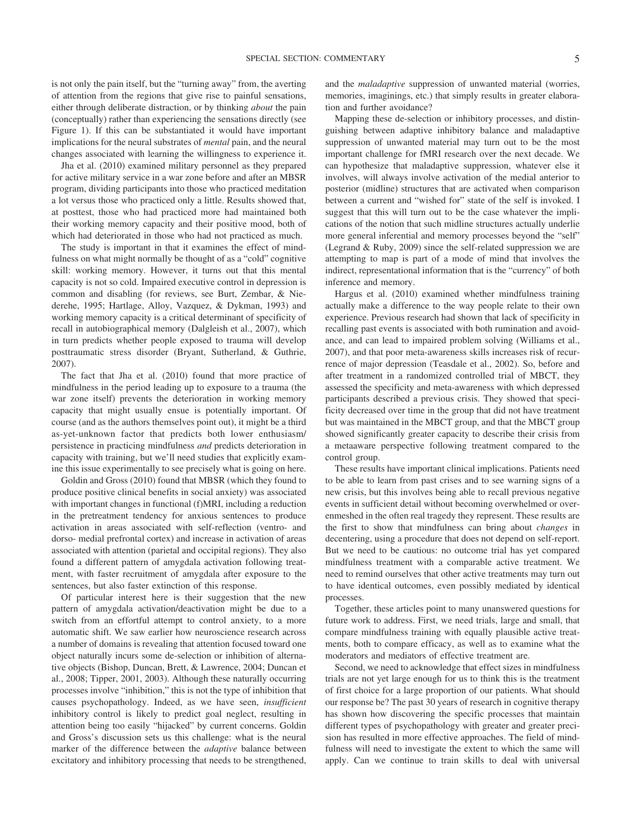is not only the pain itself, but the "turning away" from, the averting of attention from the regions that give rise to painful sensations, either through deliberate distraction, or by thinking *about* the pain (conceptually) rather than experiencing the sensations directly (see Figure 1). If this can be substantiated it would have important implications for the neural substrates of *mental* pain, and the neural changes associated with learning the willingness to experience it.

Jha et al. (2010) examined military personnel as they prepared for active military service in a war zone before and after an MBSR program, dividing participants into those who practiced meditation a lot versus those who practiced only a little. Results showed that, at posttest, those who had practiced more had maintained both their working memory capacity and their positive mood, both of which had deteriorated in those who had not practiced as much.

The study is important in that it examines the effect of mindfulness on what might normally be thought of as a "cold" cognitive skill: working memory. However, it turns out that this mental capacity is not so cold. Impaired executive control in depression is common and disabling (for reviews, see Burt, Zembar, & Niederehe, 1995; Hartlage, Alloy, Vazquez, & Dykman, 1993) and working memory capacity is a critical determinant of specificity of recall in autobiographical memory (Dalgleish et al., 2007), which in turn predicts whether people exposed to trauma will develop posttraumatic stress disorder (Bryant, Sutherland, & Guthrie, 2007).

The fact that Jha et al. (2010) found that more practice of mindfulness in the period leading up to exposure to a trauma (the war zone itself) prevents the deterioration in working memory capacity that might usually ensue is potentially important. Of course (and as the authors themselves point out), it might be a third as-yet-unknown factor that predicts both lower enthusiasm/ persistence in practicing mindfulness *and* predicts deterioration in capacity with training, but we'll need studies that explicitly examine this issue experimentally to see precisely what is going on here.

Goldin and Gross (2010) found that MBSR (which they found to produce positive clinical benefits in social anxiety) was associated with important changes in functional (f)MRI, including a reduction in the pretreatment tendency for anxious sentences to produce activation in areas associated with self-reflection (ventro- and dorso- medial prefrontal cortex) and increase in activation of areas associated with attention (parietal and occipital regions). They also found a different pattern of amygdala activation following treatment, with faster recruitment of amygdala after exposure to the sentences, but also faster extinction of this response.

Of particular interest here is their suggestion that the new pattern of amygdala activation/deactivation might be due to a switch from an effortful attempt to control anxiety, to a more automatic shift. We saw earlier how neuroscience research across a number of domains is revealing that attention focused toward one object naturally incurs some de-selection or inhibition of alternative objects (Bishop, Duncan, Brett, & Lawrence, 2004; Duncan et al., 2008; Tipper, 2001, 2003). Although these naturally occurring processes involve "inhibition," this is not the type of inhibition that causes psychopathology. Indeed, as we have seen, *insufficient* inhibitory control is likely to predict goal neglect, resulting in attention being too easily "hijacked" by current concerns. Goldin and Gross's discussion sets us this challenge: what is the neural marker of the difference between the *adaptive* balance between excitatory and inhibitory processing that needs to be strengthened, and the *maladaptive* suppression of unwanted material (worries, memories, imaginings, etc.) that simply results in greater elaboration and further avoidance?

Mapping these de-selection or inhibitory processes, and distinguishing between adaptive inhibitory balance and maladaptive suppression of unwanted material may turn out to be the most important challenge for fMRI research over the next decade. We can hypothesize that maladaptive suppression, whatever else it involves, will always involve activation of the medial anterior to posterior (midline) structures that are activated when comparison between a current and "wished for" state of the self is invoked. I suggest that this will turn out to be the case whatever the implications of the notion that such midline structures actually underlie more general inferential and memory processes beyond the "self" (Legrand & Ruby, 2009) since the self-related suppression we are attempting to map is part of a mode of mind that involves the indirect, representational information that is the "currency" of both inference and memory.

Hargus et al. (2010) examined whether mindfulness training actually make a difference to the way people relate to their own experience. Previous research had shown that lack of specificity in recalling past events is associated with both rumination and avoidance, and can lead to impaired problem solving (Williams et al., 2007), and that poor meta-awareness skills increases risk of recurrence of major depression (Teasdale et al., 2002). So, before and after treatment in a randomized controlled trial of MBCT, they assessed the specificity and meta-awareness with which depressed participants described a previous crisis. They showed that specificity decreased over time in the group that did not have treatment but was maintained in the MBCT group, and that the MBCT group showed significantly greater capacity to describe their crisis from a metaaware perspective following treatment compared to the control group.

These results have important clinical implications. Patients need to be able to learn from past crises and to see warning signs of a new crisis, but this involves being able to recall previous negative events in sufficient detail without becoming overwhelmed or overenmeshed in the often real tragedy they represent. These results are the first to show that mindfulness can bring about *changes* in decentering, using a procedure that does not depend on self-report. But we need to be cautious: no outcome trial has yet compared mindfulness treatment with a comparable active treatment. We need to remind ourselves that other active treatments may turn out to have identical outcomes, even possibly mediated by identical processes.

Together, these articles point to many unanswered questions for future work to address. First, we need trials, large and small, that compare mindfulness training with equally plausible active treatments, both to compare efficacy, as well as to examine what the moderators and mediators of effective treatment are.

Second, we need to acknowledge that effect sizes in mindfulness trials are not yet large enough for us to think this is the treatment of first choice for a large proportion of our patients. What should our response be? The past 30 years of research in cognitive therapy has shown how discovering the specific processes that maintain different types of psychopathology with greater and greater precision has resulted in more effective approaches. The field of mindfulness will need to investigate the extent to which the same will apply. Can we continue to train skills to deal with universal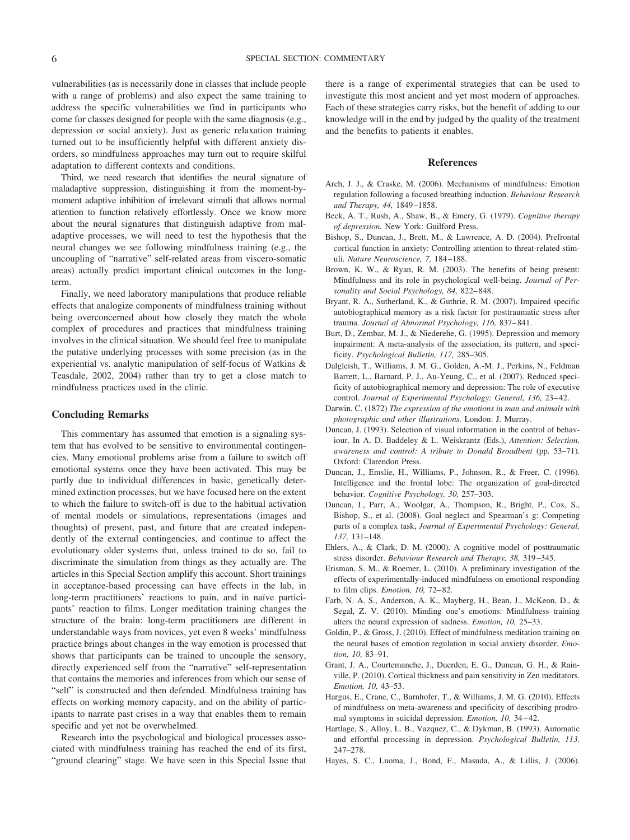vulnerabilities (as is necessarily done in classes that include people with a range of problems) and also expect the same training to address the specific vulnerabilities we find in participants who come for classes designed for people with the same diagnosis (e.g., depression or social anxiety). Just as generic relaxation training turned out to be insufficiently helpful with different anxiety disorders, so mindfulness approaches may turn out to require skilful adaptation to different contexts and conditions.

Third, we need research that identifies the neural signature of maladaptive suppression, distinguishing it from the moment-bymoment adaptive inhibition of irrelevant stimuli that allows normal attention to function relatively effortlessly. Once we know more about the neural signatures that distinguish adaptive from maladaptive processes, we will need to test the hypothesis that the neural changes we see following mindfulness training (e.g., the uncoupling of "narrative" self-related areas from viscero-somatic areas) actually predict important clinical outcomes in the longterm.

Finally, we need laboratory manipulations that produce reliable effects that analogize components of mindfulness training without being overconcerned about how closely they match the whole complex of procedures and practices that mindfulness training involves in the clinical situation. We should feel free to manipulate the putative underlying processes with some precision (as in the experiential vs. analytic manipulation of self-focus of Watkins & Teasdale, 2002, 2004) rather than try to get a close match to mindfulness practices used in the clinic.

#### **Concluding Remarks**

This commentary has assumed that emotion is a signaling system that has evolved to be sensitive to environmental contingencies. Many emotional problems arise from a failure to switch off emotional systems once they have been activated. This may be partly due to individual differences in basic, genetically determined extinction processes, but we have focused here on the extent to which the failure to switch-off is due to the habitual activation of mental models or simulations, representations (images and thoughts) of present, past, and future that are created independently of the external contingencies, and continue to affect the evolutionary older systems that, unless trained to do so, fail to discriminate the simulation from things as they actually are. The articles in this Special Section amplify this account. Short trainings in acceptance-based processing can have effects in the lab, in long-term practitioners' reactions to pain, and in naïve participants' reaction to films. Longer meditation training changes the structure of the brain: long-term practitioners are different in understandable ways from novices, yet even 8 weeks' mindfulness practice brings about changes in the way emotion is processed that shows that participants can be trained to uncouple the sensory, directly experienced self from the "narrative" self-representation that contains the memories and inferences from which our sense of "self" is constructed and then defended. Mindfulness training has effects on working memory capacity, and on the ability of participants to narrate past crises in a way that enables them to remain specific and yet not be overwhelmed.

Research into the psychological and biological processes associated with mindfulness training has reached the end of its first, "ground clearing" stage. We have seen in this Special Issue that there is a range of experimental strategies that can be used to investigate this most ancient and yet most modern of approaches. Each of these strategies carry risks, but the benefit of adding to our knowledge will in the end by judged by the quality of the treatment and the benefits to patients it enables.

#### **References**

- Arch, J. J., & Craske, M. (2006). Mechanisms of mindfulness: Emotion regulation following a focused breathing induction. *Behaviour Research and Therapy, 44,* 1849–1858.
- Beck, A. T., Rush, A., Shaw, B., & Emery, G. (1979). *Cognitive therapy of depression.* New York: Guilford Press.
- Bishop, S., Duncan, J., Brett, M., & Lawrence, A. D. (2004). Prefrontal cortical function in anxiety: Controlling attention to threat-related stimuli. *Nature Neuroscience, 7,* 184–188.
- Brown, K. W., & Ryan, R. M. (2003). The benefits of being present: Mindfulness and its role in psychological well-being. *Journal of Personality and Social Psychology, 84,* 822–848.
- Bryant, R. A., Sutherland, K., & Guthrie, R. M. (2007). Impaired specific autobiographical memory as a risk factor for posttraumatic stress after trauma. *Journal of Abnormal Psychology, 116,* 837–841.
- Burt, D., Zembar, M. J., & Niederehe, G. (1995). Depression and memory impairment: A meta-analysis of the association, its pattern, and specificity. *Psychological Bulletin, 117,* 285–305.
- Dalgleish, T., Williams, J. M. G., Golden, A.-M. J., Perkins, N., Feldman Barrett, L., Barnard, P. J., Au-Yeung, C., et al. (2007). Reduced specificity of autobiographical memory and depression: The role of executive control. *Journal of Experimental Psychology: General, 136,* 23–42.
- Darwin, C. (1872) *The expression of the emotions in man and animals with photographic and other illustrations.* London: J. Murray.
- Duncan, J. (1993). Selection of visual information in the control of behaviour. In A. D. Baddeley & L. Weiskrantz (Eds.), *Attention: Selection, awareness and control: A tribute to Donald Broadbent* (pp. 53–71). Oxford: Clarendon Press.
- Duncan, J., Emslie, H., Williams, P., Johnson, R., & Freer, C. (1996). Intelligence and the frontal lobe: The organization of goal-directed behavior. *Cognitive Psychology, 30,* 257–303.
- Duncan, J., Parr, A., Woolgar, A., Thompson, R., Bright, P., Cox, S., Bishop, S., et al. (2008). Goal neglect and Spearman's g: Competing parts of a complex task, *Journal of Experimental Psychology: General, 137,* 131–148.
- Ehlers, A., & Clark, D. M. (2000). A cognitive model of posttraumatic stress disorder. *Behaviour Research and Therapy, 38,* 319–345.
- Erisman, S. M., & Roemer, L. (2010). A preliminary investigation of the effects of experimentally-induced mindfulness on emotional responding to film clips. *Emotion, 10,* 72–82.
- Farb, N. A. S., Anderson, A. K., Mayberg, H., Bean, J., McKeon, D., & Segal, Z. V. (2010). Minding one's emotions: Mindfulness training alters the neural expression of sadness. *Emotion, 10,* 25–33.
- Goldin, P., & Gross, J. (2010). Effect of mindfulness meditation training on the neural bases of emotion regulation in social anxiety disorder. *Emotion, 10,* 83–91.
- Grant, J. A., Courtemanche, J., Duerden, E. G., Duncan, G. H., & Rainville, P. (2010). Cortical thickness and pain sensitivity in Zen meditators. *Emotion, 10,* 43–53.
- Hargus, E., Crane, C., Barnhofer, T., & Williams, J. M. G. (2010). Effects of mindfulness on meta-awareness and specificity of describing prodromal symptoms in suicidal depression. *Emotion, 10,* 34–42.
- Hartlage, S., Alloy, L. B., Vazquez, C., & Dykman, B. (1993). Automatic and effortful processing in depression. *Psychological Bulletin, 113,* 247–278.
- Hayes, S. C., Luoma, J., Bond, F., Masuda, A., & Lillis, J. (2006).